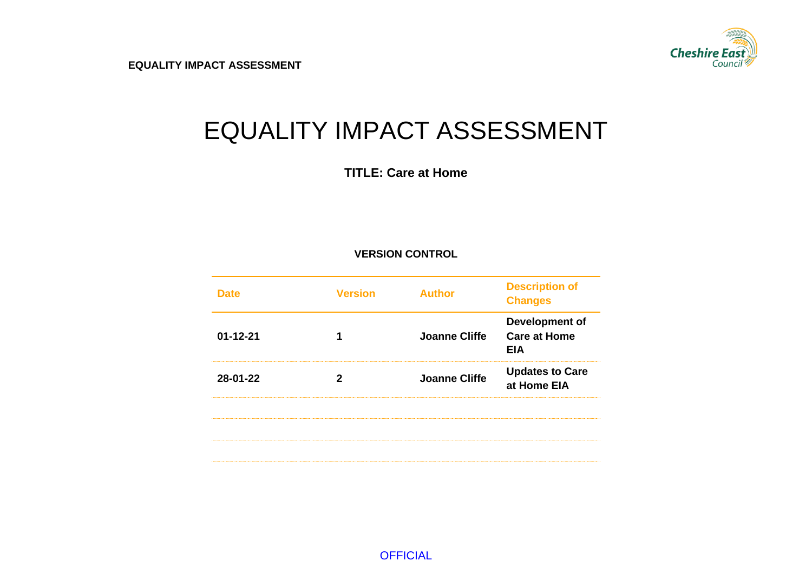

# EQUALITY IMPACT ASSESSMENT

**TITLE: Care at Home**

#### **VERSION CONTROL**

| <b>Care at Home</b><br>$01 - 12 - 21$<br><b>Joanne Cliffe</b><br>EIA<br>28-01-22<br><b>Joanne Cliffe</b><br>at Home EIA | <b>Version</b> | <b>Author</b> | <b>Description of</b><br><b>Changes</b> |
|-------------------------------------------------------------------------------------------------------------------------|----------------|---------------|-----------------------------------------|
|                                                                                                                         |                |               | Development of                          |
|                                                                                                                         |                |               | <b>Updates to Care</b>                  |
|                                                                                                                         |                |               |                                         |
|                                                                                                                         |                |               |                                         |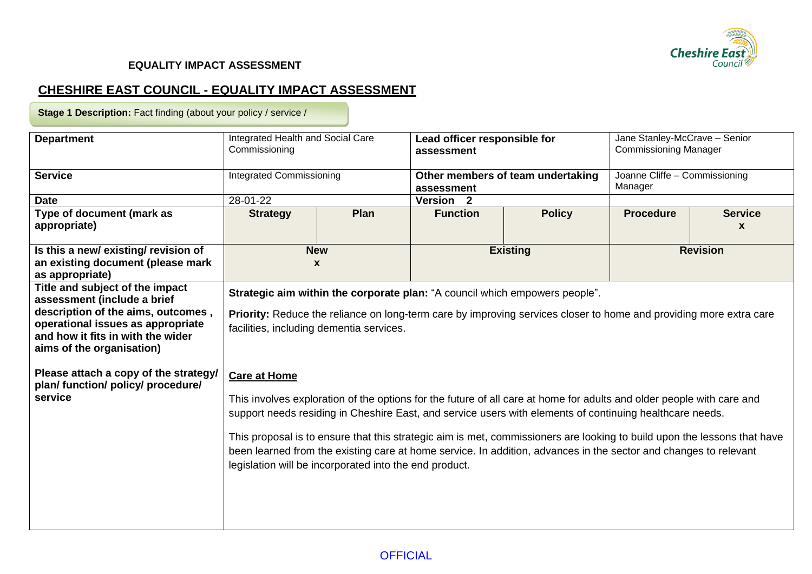

## **CHESHIRE EAST COUNCIL - EQUALITY IMPACT ASSESSMENT**

**Stage 1 Description:** Fact finding (about your policy / service /

| <b>Department</b>                                                                                                                                                                                           | Integrated Health and Social Care<br>Commissioning                                                                                                                                                                                                                                                                                                                                                                                                                                                                                                                 |                                 | Lead officer responsible for<br>assessment |                                   | Jane Stanley-McCrave - Senior<br><b>Commissioning Manager</b> |                                |
|-------------------------------------------------------------------------------------------------------------------------------------------------------------------------------------------------------------|--------------------------------------------------------------------------------------------------------------------------------------------------------------------------------------------------------------------------------------------------------------------------------------------------------------------------------------------------------------------------------------------------------------------------------------------------------------------------------------------------------------------------------------------------------------------|---------------------------------|--------------------------------------------|-----------------------------------|---------------------------------------------------------------|--------------------------------|
| <b>Service</b>                                                                                                                                                                                              |                                                                                                                                                                                                                                                                                                                                                                                                                                                                                                                                                                    | <b>Integrated Commissioning</b> |                                            | Other members of team undertaking | Joanne Cliffe - Commissioning<br>Manager                      |                                |
| <b>Date</b>                                                                                                                                                                                                 | 28-01-22                                                                                                                                                                                                                                                                                                                                                                                                                                                                                                                                                           |                                 | Version <sub>2</sub>                       |                                   |                                                               |                                |
| Type of document (mark as<br>appropriate)                                                                                                                                                                   | <b>Strategy</b>                                                                                                                                                                                                                                                                                                                                                                                                                                                                                                                                                    | Plan<br><b>Function</b>         |                                            | <b>Policy</b>                     | <b>Procedure</b>                                              | <b>Service</b><br>$\mathbf{x}$ |
| Is this a new/existing/revision of<br>an existing document (please mark<br>as appropriate)                                                                                                                  | <b>New</b><br>$\mathbf{x}$                                                                                                                                                                                                                                                                                                                                                                                                                                                                                                                                         |                                 |                                            | <b>Existing</b>                   |                                                               | <b>Revision</b>                |
| Title and subject of the impact<br>assessment (include a brief<br>description of the aims, outcomes,<br>operational issues as appropriate<br>and how it fits in with the wider<br>aims of the organisation) | Strategic aim within the corporate plan: "A council which empowers people".<br><b>Priority:</b> Reduce the reliance on long-term care by improving services closer to home and providing more extra care<br>facilities, including dementia services.                                                                                                                                                                                                                                                                                                               |                                 |                                            |                                   |                                                               |                                |
| Please attach a copy of the strategy/<br>plan/ function/ policy/ procedure/<br>service                                                                                                                      | <b>Care at Home</b><br>This involves exploration of the options for the future of all care at home for adults and older people with care and<br>support needs residing in Cheshire East, and service users with elements of continuing healthcare needs.<br>This proposal is to ensure that this strategic aim is met, commissioners are looking to build upon the lessons that have<br>been learned from the existing care at home service. In addition, advances in the sector and changes to relevant<br>legislation will be incorporated into the end product. |                                 |                                            |                                   |                                                               |                                |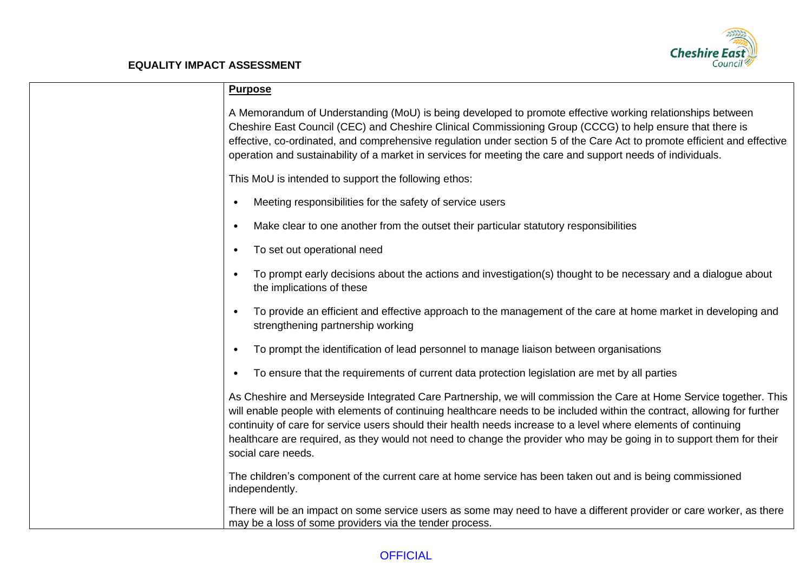

| <b>Purpose</b>                                                                                                                                                                                                                                                                                                                                                                                                                                                                                                  |
|-----------------------------------------------------------------------------------------------------------------------------------------------------------------------------------------------------------------------------------------------------------------------------------------------------------------------------------------------------------------------------------------------------------------------------------------------------------------------------------------------------------------|
| A Memorandum of Understanding (MoU) is being developed to promote effective working relationships between<br>Cheshire East Council (CEC) and Cheshire Clinical Commissioning Group (CCCG) to help ensure that there is<br>effective, co-ordinated, and comprehensive regulation under section 5 of the Care Act to promote efficient and effective<br>operation and sustainability of a market in services for meeting the care and support needs of individuals.                                               |
| This MoU is intended to support the following ethos:                                                                                                                                                                                                                                                                                                                                                                                                                                                            |
| Meeting responsibilities for the safety of service users                                                                                                                                                                                                                                                                                                                                                                                                                                                        |
| Make clear to one another from the outset their particular statutory responsibilities<br>$\bullet$                                                                                                                                                                                                                                                                                                                                                                                                              |
| To set out operational need<br>$\bullet$                                                                                                                                                                                                                                                                                                                                                                                                                                                                        |
| To prompt early decisions about the actions and investigation(s) thought to be necessary and a dialogue about<br>the implications of these                                                                                                                                                                                                                                                                                                                                                                      |
| To provide an efficient and effective approach to the management of the care at home market in developing and<br>strengthening partnership working                                                                                                                                                                                                                                                                                                                                                              |
| To prompt the identification of lead personnel to manage liaison between organisations                                                                                                                                                                                                                                                                                                                                                                                                                          |
| To ensure that the requirements of current data protection legislation are met by all parties<br>$\bullet$                                                                                                                                                                                                                                                                                                                                                                                                      |
| As Cheshire and Merseyside Integrated Care Partnership, we will commission the Care at Home Service together. This<br>will enable people with elements of continuing healthcare needs to be included within the contract, allowing for further<br>continuity of care for service users should their health needs increase to a level where elements of continuing<br>healthcare are required, as they would not need to change the provider who may be going in to support them for their<br>social care needs. |
| The children's component of the current care at home service has been taken out and is being commissioned<br>independently.                                                                                                                                                                                                                                                                                                                                                                                     |
| There will be an impact on some service users as some may need to have a different provider or care worker, as there<br>may be a loss of some providers via the tender process.                                                                                                                                                                                                                                                                                                                                 |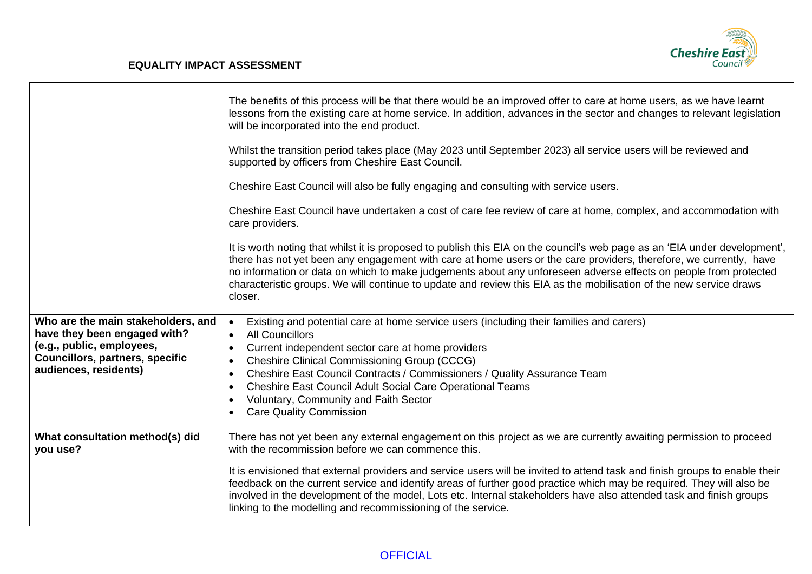

|                                                                                                                                                                    | The benefits of this process will be that there would be an improved offer to care at home users, as we have learnt<br>lessons from the existing care at home service. In addition, advances in the sector and changes to relevant legislation<br>will be incorporated into the end product.                                                                                                                                                                                                          |
|--------------------------------------------------------------------------------------------------------------------------------------------------------------------|-------------------------------------------------------------------------------------------------------------------------------------------------------------------------------------------------------------------------------------------------------------------------------------------------------------------------------------------------------------------------------------------------------------------------------------------------------------------------------------------------------|
|                                                                                                                                                                    | Whilst the transition period takes place (May 2023 until September 2023) all service users will be reviewed and<br>supported by officers from Cheshire East Council.                                                                                                                                                                                                                                                                                                                                  |
|                                                                                                                                                                    | Cheshire East Council will also be fully engaging and consulting with service users.                                                                                                                                                                                                                                                                                                                                                                                                                  |
|                                                                                                                                                                    | Cheshire East Council have undertaken a cost of care fee review of care at home, complex, and accommodation with<br>care providers.                                                                                                                                                                                                                                                                                                                                                                   |
|                                                                                                                                                                    | It is worth noting that whilst it is proposed to publish this EIA on the council's web page as an 'EIA under development',<br>there has not yet been any engagement with care at home users or the care providers, therefore, we currently, have<br>no information or data on which to make judgements about any unforeseen adverse effects on people from protected<br>characteristic groups. We will continue to update and review this EIA as the mobilisation of the new service draws<br>closer. |
| Who are the main stakeholders, and<br>have they been engaged with?<br>(e.g., public, employees,<br><b>Councillors, partners, specific</b><br>audiences, residents) | Existing and potential care at home service users (including their families and carers)<br><b>All Councillors</b><br>$\bullet$<br>Current independent sector care at home providers<br><b>Cheshire Clinical Commissioning Group (CCCG)</b><br>Cheshire East Council Contracts / Commissioners / Quality Assurance Team<br>Cheshire East Council Adult Social Care Operational Teams<br>Voluntary, Community and Faith Sector<br><b>Care Quality Commission</b>                                        |
| What consultation method(s) did<br>you use?                                                                                                                        | There has not yet been any external engagement on this project as we are currently awaiting permission to proceed<br>with the recommission before we can commence this.                                                                                                                                                                                                                                                                                                                               |
|                                                                                                                                                                    | It is envisioned that external providers and service users will be invited to attend task and finish groups to enable their<br>feedback on the current service and identify areas of further good practice which may be required. They will also be<br>involved in the development of the model, Lots etc. Internal stakeholders have also attended task and finish groups<br>linking to the modelling and recommissioning of the service.                                                            |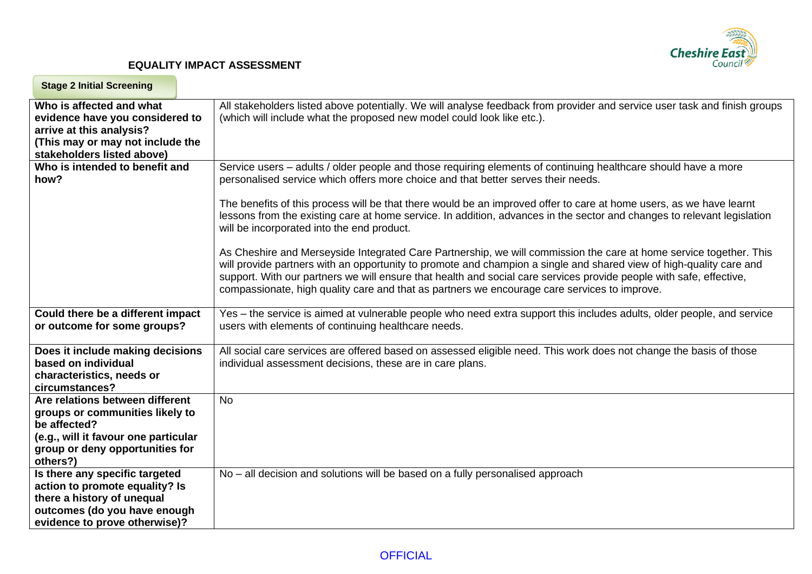

| <b>Stage 2 Initial Screening</b>                                                                                                                                          |                                                                                                                                                                                                                                                                                                                                                                                                                                                                                                     |
|---------------------------------------------------------------------------------------------------------------------------------------------------------------------------|-----------------------------------------------------------------------------------------------------------------------------------------------------------------------------------------------------------------------------------------------------------------------------------------------------------------------------------------------------------------------------------------------------------------------------------------------------------------------------------------------------|
| Who is affected and what<br>evidence have you considered to<br>arrive at this analysis?<br>(This may or may not include the<br>stakeholders listed above)                 | All stakeholders listed above potentially. We will analyse feedback from provider and service user task and finish groups<br>(which will include what the proposed new model could look like etc.).                                                                                                                                                                                                                                                                                                 |
| Who is intended to benefit and<br>how?                                                                                                                                    | Service users – adults / older people and those requiring elements of continuing healthcare should have a more<br>personalised service which offers more choice and that better serves their needs.<br>The benefits of this process will be that there would be an improved offer to care at home users, as we have learnt<br>lessons from the existing care at home service. In addition, advances in the sector and changes to relevant legislation<br>will be incorporated into the end product. |
|                                                                                                                                                                           | As Cheshire and Merseyside Integrated Care Partnership, we will commission the care at home service together. This<br>will provide partners with an opportunity to promote and champion a single and shared view of high-quality care and<br>support. With our partners we will ensure that health and social care services provide people with safe, effective,<br>compassionate, high quality care and that as partners we encourage care services to improve.                                    |
| Could there be a different impact<br>or outcome for some groups?                                                                                                          | Yes – the service is aimed at vulnerable people who need extra support this includes adults, older people, and service<br>users with elements of continuing healthcare needs.                                                                                                                                                                                                                                                                                                                       |
| Does it include making decisions<br>based on individual<br>characteristics, needs or<br>circumstances?                                                                    | All social care services are offered based on assessed eligible need. This work does not change the basis of those<br>individual assessment decisions, these are in care plans.                                                                                                                                                                                                                                                                                                                     |
| Are relations between different<br>groups or communities likely to<br>be affected?<br>(e.g., will it favour one particular<br>group or deny opportunities for<br>others?) | <b>No</b>                                                                                                                                                                                                                                                                                                                                                                                                                                                                                           |
| Is there any specific targeted<br>action to promote equality? Is<br>there a history of unequal<br>outcomes (do you have enough<br>evidence to prove otherwise)?           | No – all decision and solutions will be based on a fully personalised approach                                                                                                                                                                                                                                                                                                                                                                                                                      |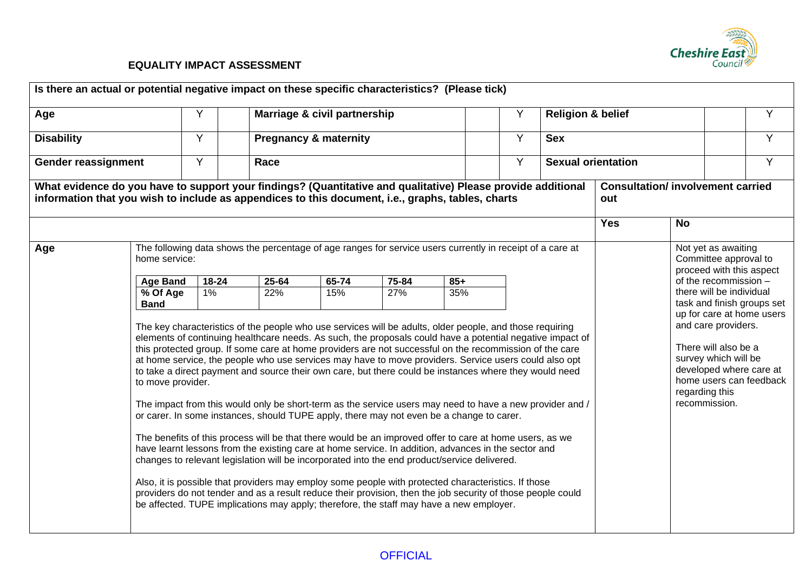

| Age                        |                                                                                                                                                                                                                                                                                                                                                                                                                                                                                                                                                                                                                                                                                                                                                                                                                                                                                                                                                                                                                                                                                                                                                                                                                                                                                                                                                                                                                     | Y                                 | Y<br><b>Religion &amp; belief</b><br>Marriage & civil partnership                                         |                                                     |  |  |  |  |            | Y                                        |                                                                                                                           |   |
|----------------------------|---------------------------------------------------------------------------------------------------------------------------------------------------------------------------------------------------------------------------------------------------------------------------------------------------------------------------------------------------------------------------------------------------------------------------------------------------------------------------------------------------------------------------------------------------------------------------------------------------------------------------------------------------------------------------------------------------------------------------------------------------------------------------------------------------------------------------------------------------------------------------------------------------------------------------------------------------------------------------------------------------------------------------------------------------------------------------------------------------------------------------------------------------------------------------------------------------------------------------------------------------------------------------------------------------------------------------------------------------------------------------------------------------------------------|-----------------------------------|-----------------------------------------------------------------------------------------------------------|-----------------------------------------------------|--|--|--|--|------------|------------------------------------------|---------------------------------------------------------------------------------------------------------------------------|---|
| <b>Disability</b>          |                                                                                                                                                                                                                                                                                                                                                                                                                                                                                                                                                                                                                                                                                                                                                                                                                                                                                                                                                                                                                                                                                                                                                                                                                                                                                                                                                                                                                     | Y                                 |                                                                                                           | Y<br><b>Pregnancy &amp; maternity</b><br><b>Sex</b> |  |  |  |  |            |                                          |                                                                                                                           | Y |
| <b>Gender reassignment</b> |                                                                                                                                                                                                                                                                                                                                                                                                                                                                                                                                                                                                                                                                                                                                                                                                                                                                                                                                                                                                                                                                                                                                                                                                                                                                                                                                                                                                                     | Y                                 | Y<br><b>Sexual orientation</b><br>Race                                                                    |                                                     |  |  |  |  |            |                                          | Y                                                                                                                         |   |
|                            | What evidence do you have to support your findings? (Quantitative and qualitative) Please provide additional<br>information that you wish to include as appendices to this document, i.e., graphs, tables, charts                                                                                                                                                                                                                                                                                                                                                                                                                                                                                                                                                                                                                                                                                                                                                                                                                                                                                                                                                                                                                                                                                                                                                                                                   |                                   |                                                                                                           |                                                     |  |  |  |  | out        | <b>Consultation/ involvement carried</b> |                                                                                                                           |   |
|                            |                                                                                                                                                                                                                                                                                                                                                                                                                                                                                                                                                                                                                                                                                                                                                                                                                                                                                                                                                                                                                                                                                                                                                                                                                                                                                                                                                                                                                     |                                   |                                                                                                           |                                                     |  |  |  |  | <b>Yes</b> | <b>No</b>                                |                                                                                                                           |   |
| Age                        | home service:                                                                                                                                                                                                                                                                                                                                                                                                                                                                                                                                                                                                                                                                                                                                                                                                                                                                                                                                                                                                                                                                                                                                                                                                                                                                                                                                                                                                       |                                   | The following data shows the percentage of age ranges for service users currently in receipt of a care at |                                                     |  |  |  |  |            |                                          | Not yet as awaiting<br>Committee approval to<br>proceed with this aspect                                                  |   |
|                            | <b>Age Band</b>                                                                                                                                                                                                                                                                                                                                                                                                                                                                                                                                                                                                                                                                                                                                                                                                                                                                                                                                                                                                                                                                                                                                                                                                                                                                                                                                                                                                     | 18-24                             | $65 - 74$<br>25-64<br>75-84<br>$85+$                                                                      |                                                     |  |  |  |  |            |                                          | of the recommission -                                                                                                     |   |
|                            | % Of Age<br><b>Band</b>                                                                                                                                                                                                                                                                                                                                                                                                                                                                                                                                                                                                                                                                                                                                                                                                                                                                                                                                                                                                                                                                                                                                                                                                                                                                                                                                                                                             | 27%<br>35%<br>$1\%$<br>22%<br>15% |                                                                                                           |                                                     |  |  |  |  |            |                                          | there will be individual<br>task and finish groups set<br>up for care at home users                                       |   |
|                            | The key characteristics of the people who use services will be adults, older people, and those requiring<br>elements of continuing healthcare needs. As such, the proposals could have a potential negative impact of<br>this protected group. If some care at home providers are not successful on the recommission of the care<br>at home service, the people who use services may have to move providers. Service users could also opt<br>to take a direct payment and source their own care, but there could be instances where they would need<br>to move provider.<br>The impact from this would only be short-term as the service users may need to have a new provider and /<br>or carer. In some instances, should TUPE apply, there may not even be a change to carer.<br>The benefits of this process will be that there would be an improved offer to care at home users, as we<br>have learnt lessons from the existing care at home service. In addition, advances in the sector and<br>changes to relevant legislation will be incorporated into the end product/service delivered.<br>Also, it is possible that providers may employ some people with protected characteristics. If those<br>providers do not tender and as a result reduce their provision, then the job security of those people could<br>be affected. TUPE implications may apply; therefore, the staff may have a new employer. |                                   |                                                                                                           |                                                     |  |  |  |  |            | regarding this<br>recommission.          | and care providers.<br>There will also be a<br>survey which will be<br>developed where care at<br>home users can feedback |   |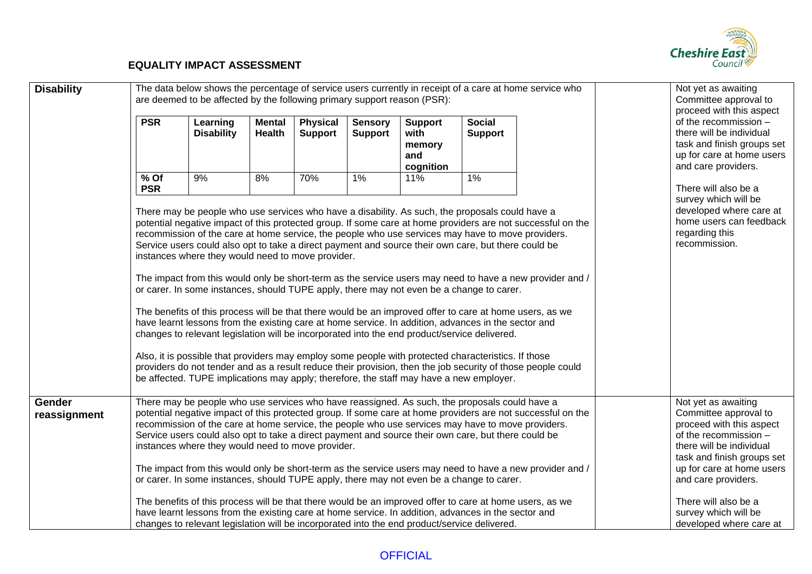

| <b>Disability</b>      | The data below shows the percentage of service users currently in receipt of a care at home service who<br>are deemed to be affected by the following primary support reason (PSR): |                                                                                                                                                                                                                                                                                                                                                                                                                                                                                                                                                                                                                                                                                                                                                                                                                                                                                                                                                                                        |                         |                                   |                                  |                                                      |                                 |                                                                                                                                                                                                                                                                                                                                        | Not yet as awaiting<br>Committee approval to<br>proceed with this aspect                                                                                                                                                                                                                   |
|------------------------|-------------------------------------------------------------------------------------------------------------------------------------------------------------------------------------|----------------------------------------------------------------------------------------------------------------------------------------------------------------------------------------------------------------------------------------------------------------------------------------------------------------------------------------------------------------------------------------------------------------------------------------------------------------------------------------------------------------------------------------------------------------------------------------------------------------------------------------------------------------------------------------------------------------------------------------------------------------------------------------------------------------------------------------------------------------------------------------------------------------------------------------------------------------------------------------|-------------------------|-----------------------------------|----------------------------------|------------------------------------------------------|---------------------------------|----------------------------------------------------------------------------------------------------------------------------------------------------------------------------------------------------------------------------------------------------------------------------------------------------------------------------------------|--------------------------------------------------------------------------------------------------------------------------------------------------------------------------------------------------------------------------------------------------------------------------------------------|
|                        | <b>PSR</b>                                                                                                                                                                          | Learning<br><b>Disability</b>                                                                                                                                                                                                                                                                                                                                                                                                                                                                                                                                                                                                                                                                                                                                                                                                                                                                                                                                                          | <b>Mental</b><br>Health | <b>Physical</b><br><b>Support</b> | <b>Sensory</b><br><b>Support</b> | <b>Support</b><br>with<br>memory<br>and<br>cognition | <b>Social</b><br><b>Support</b> |                                                                                                                                                                                                                                                                                                                                        | of the recommission -<br>there will be individual<br>task and finish groups set<br>up for care at home users<br>and care providers.                                                                                                                                                        |
|                        | $%$ Of<br><b>PSR</b>                                                                                                                                                                | 9%<br>There may be people who use services who have a disability. As such, the proposals could have a<br>recommission of the care at home service, the people who use services may have to move providers.<br>Service users could also opt to take a direct payment and source their own care, but there could be<br>instances where they would need to move provider.<br>or carer. In some instances, should TUPE apply, there may not even be a change to carer.<br>The benefits of this process will be that there would be an improved offer to care at home users, as we<br>have learnt lessons from the existing care at home service. In addition, advances in the sector and<br>changes to relevant legislation will be incorporated into the end product/service delivered.<br>Also, it is possible that providers may employ some people with protected characteristics. If those<br>be affected. TUPE implications may apply; therefore, the staff may have a new employer. | 8%                      | 70%                               | $1\%$                            | 11%                                                  | 1%                              | potential negative impact of this protected group. If some care at home providers are not successful on the<br>The impact from this would only be short-term as the service users may need to have a new provider and /<br>providers do not tender and as a result reduce their provision, then the job security of those people could | There will also be a<br>survey which will be<br>developed where care at<br>home users can feedback<br>regarding this<br>recommission.                                                                                                                                                      |
| Gender<br>reassignment |                                                                                                                                                                                     | There may be people who use services who have reassigned. As such, the proposals could have a<br>recommission of the care at home service, the people who use services may have to move providers.<br>Service users could also opt to take a direct payment and source their own care, but there could be<br>instances where they would need to move provider.<br>or carer. In some instances, should TUPE apply, there may not even be a change to carer.<br>The benefits of this process will be that there would be an improved offer to care at home users, as we<br>have learnt lessons from the existing care at home service. In addition, advances in the sector and<br>changes to relevant legislation will be incorporated into the end product/service delivered.                                                                                                                                                                                                           |                         |                                   |                                  |                                                      |                                 | potential negative impact of this protected group. If some care at home providers are not successful on the<br>The impact from this would only be short-term as the service users may need to have a new provider and /                                                                                                                | Not yet as awaiting<br>Committee approval to<br>proceed with this aspect<br>of the recommission -<br>there will be individual<br>task and finish groups set<br>up for care at home users<br>and care providers.<br>There will also be a<br>survey which will be<br>developed where care at |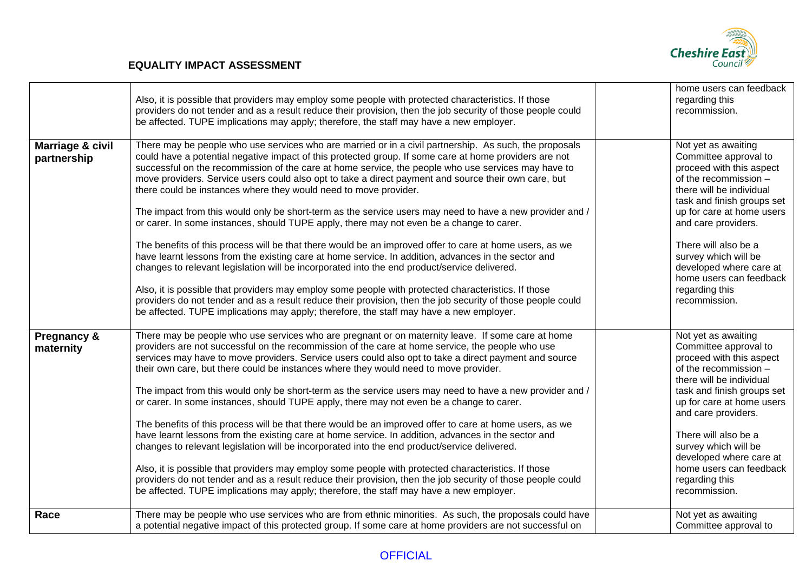

|                                 | Also, it is possible that providers may employ some people with protected characteristics. If those<br>providers do not tender and as a result reduce their provision, then the job security of those people could<br>be affected. TUPE implications may apply; therefore, the staff may have a new employer.                                                                                                                                                                                                                                                                                                                                                                                                                                                                                                                                                                                                                                                                                                                                                                                                                                                                                                                                                                                                                                  | home users can feedback<br>regarding this<br>recommission.                                                                                                                                                                                                                                                                                               |
|---------------------------------|------------------------------------------------------------------------------------------------------------------------------------------------------------------------------------------------------------------------------------------------------------------------------------------------------------------------------------------------------------------------------------------------------------------------------------------------------------------------------------------------------------------------------------------------------------------------------------------------------------------------------------------------------------------------------------------------------------------------------------------------------------------------------------------------------------------------------------------------------------------------------------------------------------------------------------------------------------------------------------------------------------------------------------------------------------------------------------------------------------------------------------------------------------------------------------------------------------------------------------------------------------------------------------------------------------------------------------------------|----------------------------------------------------------------------------------------------------------------------------------------------------------------------------------------------------------------------------------------------------------------------------------------------------------------------------------------------------------|
| Marriage & civil<br>partnership | There may be people who use services who are married or in a civil partnership. As such, the proposals<br>could have a potential negative impact of this protected group. If some care at home providers are not<br>successful on the recommission of the care at home service, the people who use services may have to<br>move providers. Service users could also opt to take a direct payment and source their own care, but<br>there could be instances where they would need to move provider.<br>The impact from this would only be short-term as the service users may need to have a new provider and /<br>or carer. In some instances, should TUPE apply, there may not even be a change to carer.<br>The benefits of this process will be that there would be an improved offer to care at home users, as we<br>have learnt lessons from the existing care at home service. In addition, advances in the sector and<br>changes to relevant legislation will be incorporated into the end product/service delivered.<br>Also, it is possible that providers may employ some people with protected characteristics. If those<br>providers do not tender and as a result reduce their provision, then the job security of those people could<br>be affected. TUPE implications may apply; therefore, the staff may have a new employer. | Not yet as awaiting<br>Committee approval to<br>proceed with this aspect<br>of the recommission -<br>there will be individual<br>task and finish groups set<br>up for care at home users<br>and care providers.<br>There will also be a<br>survey which will be<br>developed where care at<br>home users can feedback<br>regarding this<br>recommission. |
| Pregnancy &<br>maternity        | There may be people who use services who are pregnant or on maternity leave. If some care at home<br>providers are not successful on the recommission of the care at home service, the people who use<br>services may have to move providers. Service users could also opt to take a direct payment and source<br>their own care, but there could be instances where they would need to move provider.<br>The impact from this would only be short-term as the service users may need to have a new provider and /<br>or carer. In some instances, should TUPE apply, there may not even be a change to carer.<br>The benefits of this process will be that there would be an improved offer to care at home users, as we<br>have learnt lessons from the existing care at home service. In addition, advances in the sector and<br>changes to relevant legislation will be incorporated into the end product/service delivered.<br>Also, it is possible that providers may employ some people with protected characteristics. If those<br>providers do not tender and as a result reduce their provision, then the job security of those people could<br>be affected. TUPE implications may apply; therefore, the staff may have a new employer.                                                                                              | Not yet as awaiting<br>Committee approval to<br>proceed with this aspect<br>of the recommission -<br>there will be individual<br>task and finish groups set<br>up for care at home users<br>and care providers.<br>There will also be a<br>survey which will be<br>developed where care at<br>home users can feedback<br>regarding this<br>recommission. |
| Race                            | There may be people who use services who are from ethnic minorities. As such, the proposals could have<br>a potential negative impact of this protected group. If some care at home providers are not successful on                                                                                                                                                                                                                                                                                                                                                                                                                                                                                                                                                                                                                                                                                                                                                                                                                                                                                                                                                                                                                                                                                                                            | Not yet as awaiting<br>Committee approval to                                                                                                                                                                                                                                                                                                             |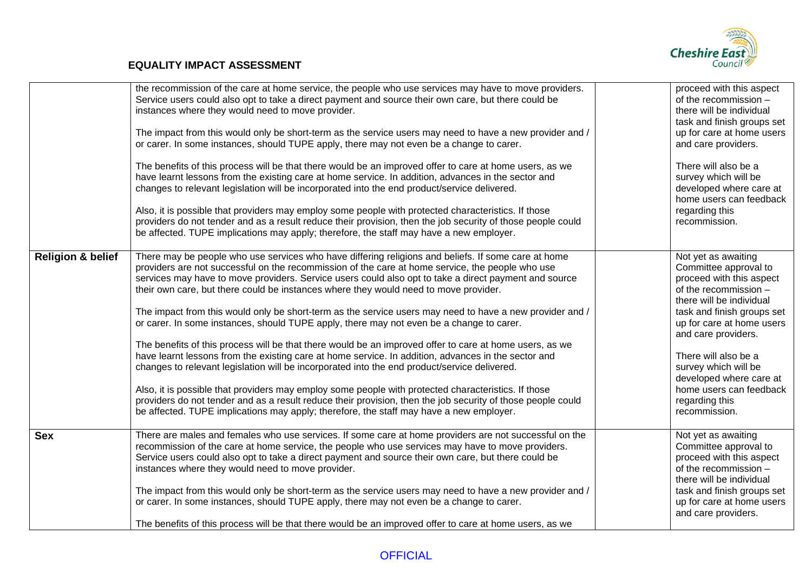

|                              | the recommission of the care at home service, the people who use services may have to move providers.<br>Service users could also opt to take a direct payment and source their own care, but there could be<br>instances where they would need to move provider.<br>The impact from this would only be short-term as the service users may need to have a new provider and /<br>or carer. In some instances, should TUPE apply, there may not even be a change to carer.<br>The benefits of this process will be that there would be an improved offer to care at home users, as we<br>have learnt lessons from the existing care at home service. In addition, advances in the sector and<br>changes to relevant legislation will be incorporated into the end product/service delivered.<br>Also, it is possible that providers may employ some people with protected characteristics. If those<br>providers do not tender and as a result reduce their provision, then the job security of those people could<br>be affected. TUPE implications may apply; therefore, the staff may have a new employer.                                                                                                                                        | proceed with this aspect<br>of the recommission -<br>there will be individual<br>task and finish groups set<br>up for care at home users<br>and care providers.<br>There will also be a<br>survey which will be<br>developed where care at<br>home users can feedback<br>regarding this<br>recommission.                                                 |
|------------------------------|-----------------------------------------------------------------------------------------------------------------------------------------------------------------------------------------------------------------------------------------------------------------------------------------------------------------------------------------------------------------------------------------------------------------------------------------------------------------------------------------------------------------------------------------------------------------------------------------------------------------------------------------------------------------------------------------------------------------------------------------------------------------------------------------------------------------------------------------------------------------------------------------------------------------------------------------------------------------------------------------------------------------------------------------------------------------------------------------------------------------------------------------------------------------------------------------------------------------------------------------------------|----------------------------------------------------------------------------------------------------------------------------------------------------------------------------------------------------------------------------------------------------------------------------------------------------------------------------------------------------------|
| <b>Religion &amp; belief</b> | There may be people who use services who have differing religions and beliefs. If some care at home<br>providers are not successful on the recommission of the care at home service, the people who use<br>services may have to move providers. Service users could also opt to take a direct payment and source<br>their own care, but there could be instances where they would need to move provider.<br>The impact from this would only be short-term as the service users may need to have a new provider and /<br>or carer. In some instances, should TUPE apply, there may not even be a change to carer.<br>The benefits of this process will be that there would be an improved offer to care at home users, as we<br>have learnt lessons from the existing care at home service. In addition, advances in the sector and<br>changes to relevant legislation will be incorporated into the end product/service delivered.<br>Also, it is possible that providers may employ some people with protected characteristics. If those<br>providers do not tender and as a result reduce their provision, then the job security of those people could<br>be affected. TUPE implications may apply; therefore, the staff may have a new employer. | Not yet as awaiting<br>Committee approval to<br>proceed with this aspect<br>of the recommission -<br>there will be individual<br>task and finish groups set<br>up for care at home users<br>and care providers.<br>There will also be a<br>survey which will be<br>developed where care at<br>home users can feedback<br>regarding this<br>recommission. |
| <b>Sex</b>                   | There are males and females who use services. If some care at home providers are not successful on the<br>recommission of the care at home service, the people who use services may have to move providers.<br>Service users could also opt to take a direct payment and source their own care, but there could be<br>instances where they would need to move provider.<br>The impact from this would only be short-term as the service users may need to have a new provider and /<br>or carer. In some instances, should TUPE apply, there may not even be a change to carer.<br>The benefits of this process will be that there would be an improved offer to care at home users, as we                                                                                                                                                                                                                                                                                                                                                                                                                                                                                                                                                          | Not yet as awaiting<br>Committee approval to<br>proceed with this aspect<br>of the recommission -<br>there will be individual<br>task and finish groups set<br>up for care at home users<br>and care providers.                                                                                                                                          |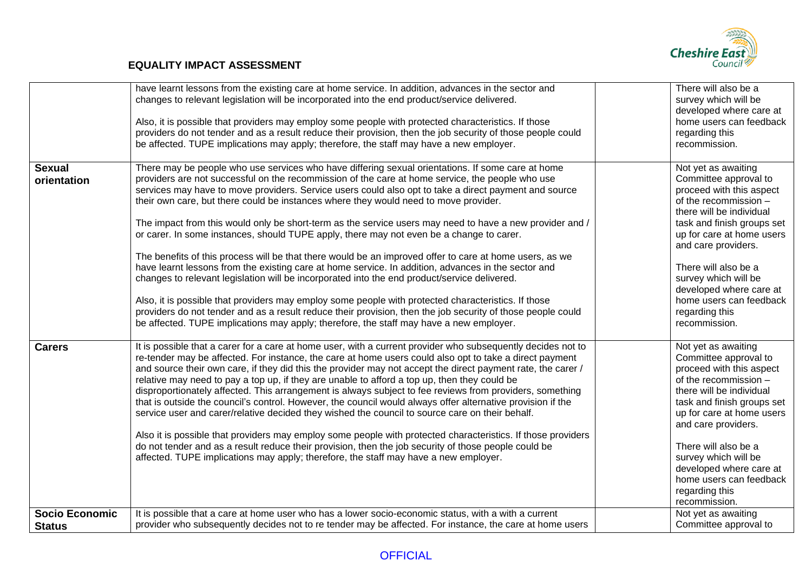

| <b>Sexual</b>         | have learnt lessons from the existing care at home service. In addition, advances in the sector and<br>changes to relevant legislation will be incorporated into the end product/service delivered.<br>Also, it is possible that providers may employ some people with protected characteristics. If those<br>providers do not tender and as a result reduce their provision, then the job security of those people could<br>be affected. TUPE implications may apply; therefore, the staff may have a new employer.<br>There may be people who use services who have differing sexual orientations. If some care at home                                                                                                                                                                                                                                                                                                                                                                                                                                                                                                                    | There will also be a<br>survey which will be<br>developed where care at<br>home users can feedback<br>regarding this<br>recommission.<br>Not yet as awaiting                                                                                                                                                                                             |
|-----------------------|----------------------------------------------------------------------------------------------------------------------------------------------------------------------------------------------------------------------------------------------------------------------------------------------------------------------------------------------------------------------------------------------------------------------------------------------------------------------------------------------------------------------------------------------------------------------------------------------------------------------------------------------------------------------------------------------------------------------------------------------------------------------------------------------------------------------------------------------------------------------------------------------------------------------------------------------------------------------------------------------------------------------------------------------------------------------------------------------------------------------------------------------|----------------------------------------------------------------------------------------------------------------------------------------------------------------------------------------------------------------------------------------------------------------------------------------------------------------------------------------------------------|
| orientation           | providers are not successful on the recommission of the care at home service, the people who use<br>services may have to move providers. Service users could also opt to take a direct payment and source<br>their own care, but there could be instances where they would need to move provider.<br>The impact from this would only be short-term as the service users may need to have a new provider and /<br>or carer. In some instances, should TUPE apply, there may not even be a change to carer.<br>The benefits of this process will be that there would be an improved offer to care at home users, as we<br>have learnt lessons from the existing care at home service. In addition, advances in the sector and<br>changes to relevant legislation will be incorporated into the end product/service delivered.<br>Also, it is possible that providers may employ some people with protected characteristics. If those<br>providers do not tender and as a result reduce their provision, then the job security of those people could<br>be affected. TUPE implications may apply; therefore, the staff may have a new employer. | Committee approval to<br>proceed with this aspect<br>of the recommission -<br>there will be individual<br>task and finish groups set<br>up for care at home users<br>and care providers.<br>There will also be a<br>survey which will be<br>developed where care at<br>home users can feedback<br>regarding this<br>recommission.                        |
| <b>Carers</b>         | It is possible that a carer for a care at home user, with a current provider who subsequently decides not to<br>re-tender may be affected. For instance, the care at home users could also opt to take a direct payment<br>and source their own care, if they did this the provider may not accept the direct payment rate, the carer /<br>relative may need to pay a top up, if they are unable to afford a top up, then they could be<br>disproportionately affected. This arrangement is always subject to fee reviews from providers, something<br>that is outside the council's control. However, the council would always offer alternative provision if the<br>service user and carer/relative decided they wished the council to source care on their behalf.<br>Also it is possible that providers may employ some people with protected characteristics. If those providers<br>do not tender and as a result reduce their provision, then the job security of those people could be<br>affected. TUPE implications may apply; therefore, the staff may have a new employer.                                                        | Not yet as awaiting<br>Committee approval to<br>proceed with this aspect<br>of the recommission -<br>there will be individual<br>task and finish groups set<br>up for care at home users<br>and care providers.<br>There will also be a<br>survey which will be<br>developed where care at<br>home users can feedback<br>regarding this<br>recommission. |
| <b>Socio Economic</b> | It is possible that a care at home user who has a lower socio-economic status, with a with a current                                                                                                                                                                                                                                                                                                                                                                                                                                                                                                                                                                                                                                                                                                                                                                                                                                                                                                                                                                                                                                         | Not yet as awaiting                                                                                                                                                                                                                                                                                                                                      |
| <b>Status</b>         | provider who subsequently decides not to re tender may be affected. For instance, the care at home users                                                                                                                                                                                                                                                                                                                                                                                                                                                                                                                                                                                                                                                                                                                                                                                                                                                                                                                                                                                                                                     | Committee approval to                                                                                                                                                                                                                                                                                                                                    |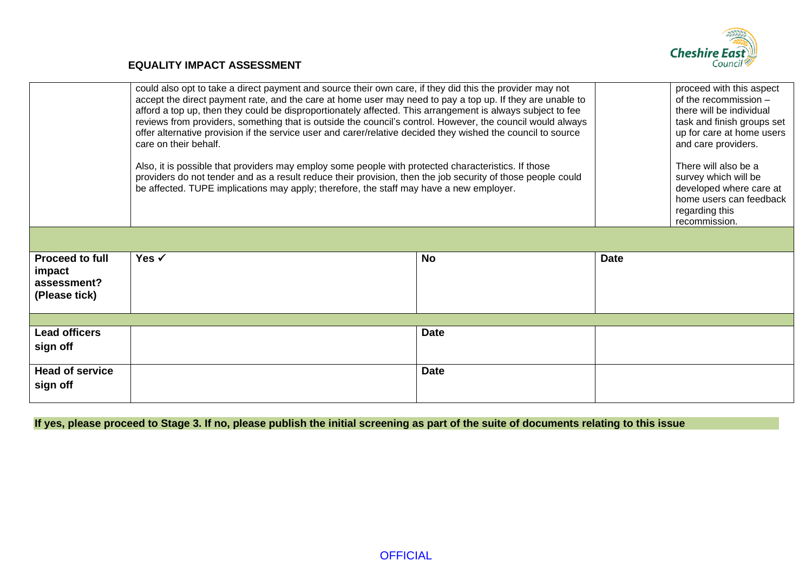

|                                                                  | could also opt to take a direct payment and source their own care, if they did this the provider may not<br>accept the direct payment rate, and the care at home user may need to pay a top up. If they are unable to<br>afford a top up, then they could be disproportionately affected. This arrangement is always subject to fee<br>reviews from providers, something that is outside the council's control. However, the council would always<br>offer alternative provision if the service user and carer/relative decided they wished the council to source<br>care on their behalf.<br>Also, it is possible that providers may employ some people with protected characteristics. If those<br>providers do not tender and as a result reduce their provision, then the job security of those people could<br>be affected. TUPE implications may apply; therefore, the staff may have a new employer. |             | proceed with this aspect<br>of the recommission $-$<br>there will be individual<br>task and finish groups set<br>up for care at home users<br>and care providers.<br>There will also be a<br>survey which will be<br>developed where care at<br>home users can feedback<br>regarding this<br>recommission. |  |  |  |  |  |
|------------------------------------------------------------------|-------------------------------------------------------------------------------------------------------------------------------------------------------------------------------------------------------------------------------------------------------------------------------------------------------------------------------------------------------------------------------------------------------------------------------------------------------------------------------------------------------------------------------------------------------------------------------------------------------------------------------------------------------------------------------------------------------------------------------------------------------------------------------------------------------------------------------------------------------------------------------------------------------------|-------------|------------------------------------------------------------------------------------------------------------------------------------------------------------------------------------------------------------------------------------------------------------------------------------------------------------|--|--|--|--|--|
|                                                                  |                                                                                                                                                                                                                                                                                                                                                                                                                                                                                                                                                                                                                                                                                                                                                                                                                                                                                                             |             |                                                                                                                                                                                                                                                                                                            |  |  |  |  |  |
| <b>Proceed to full</b><br>impact<br>assessment?<br>(Please tick) | Yes $\checkmark$                                                                                                                                                                                                                                                                                                                                                                                                                                                                                                                                                                                                                                                                                                                                                                                                                                                                                            | <b>No</b>   | <b>Date</b>                                                                                                                                                                                                                                                                                                |  |  |  |  |  |
|                                                                  |                                                                                                                                                                                                                                                                                                                                                                                                                                                                                                                                                                                                                                                                                                                                                                                                                                                                                                             |             |                                                                                                                                                                                                                                                                                                            |  |  |  |  |  |
| <b>Lead officers</b><br>sign off                                 |                                                                                                                                                                                                                                                                                                                                                                                                                                                                                                                                                                                                                                                                                                                                                                                                                                                                                                             | <b>Date</b> |                                                                                                                                                                                                                                                                                                            |  |  |  |  |  |
| <b>Head of service</b><br>sign off                               |                                                                                                                                                                                                                                                                                                                                                                                                                                                                                                                                                                                                                                                                                                                                                                                                                                                                                                             | <b>Date</b> |                                                                                                                                                                                                                                                                                                            |  |  |  |  |  |

**If yes, please proceed to Stage 3. If no, please publish the initial screening as part of the suite of documents relating to this issue**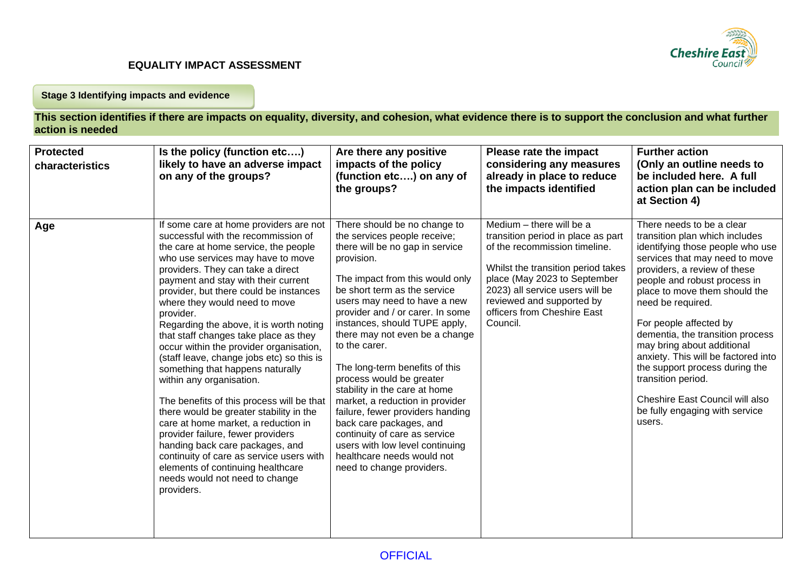

#### **Stage 3 Identifying impacts and evidence**

**This section identifies if there are impacts on equality, diversity, and cohesion, what evidence there is to support the conclusion and what further action is needed**

| <b>Protected</b><br>characteristics | Is the policy (function etc)<br>likely to have an adverse impact<br>on any of the groups?                                                                                                                                                                                                                                                                                                                                                                                                                                                                                                                                                                                                                                                                                                                                                                                                                          | Are there any positive<br>impacts of the policy<br>(function etc) on any of<br>the groups?                                                                                                                                                                                                                                                                                                                                                                                                                                                                                                                                                                               | Please rate the impact<br>considering any measures<br>already in place to reduce<br>the impacts identified                                                                                                                                                                       | <b>Further action</b><br>(Only an outline needs to<br>be included here. A full<br>action plan can be included<br>at Section 4)                                                                                                                                                                                                                                                                                                                                                                                                    |
|-------------------------------------|--------------------------------------------------------------------------------------------------------------------------------------------------------------------------------------------------------------------------------------------------------------------------------------------------------------------------------------------------------------------------------------------------------------------------------------------------------------------------------------------------------------------------------------------------------------------------------------------------------------------------------------------------------------------------------------------------------------------------------------------------------------------------------------------------------------------------------------------------------------------------------------------------------------------|--------------------------------------------------------------------------------------------------------------------------------------------------------------------------------------------------------------------------------------------------------------------------------------------------------------------------------------------------------------------------------------------------------------------------------------------------------------------------------------------------------------------------------------------------------------------------------------------------------------------------------------------------------------------------|----------------------------------------------------------------------------------------------------------------------------------------------------------------------------------------------------------------------------------------------------------------------------------|-----------------------------------------------------------------------------------------------------------------------------------------------------------------------------------------------------------------------------------------------------------------------------------------------------------------------------------------------------------------------------------------------------------------------------------------------------------------------------------------------------------------------------------|
| Age                                 | If some care at home providers are not<br>successful with the recommission of<br>the care at home service, the people<br>who use services may have to move<br>providers. They can take a direct<br>payment and stay with their current<br>provider, but there could be instances<br>where they would need to move<br>provider.<br>Regarding the above, it is worth noting<br>that staff changes take place as they<br>occur within the provider organisation,<br>(staff leave, change jobs etc) so this is<br>something that happens naturally<br>within any organisation.<br>The benefits of this process will be that<br>there would be greater stability in the<br>care at home market, a reduction in<br>provider failure, fewer providers<br>handing back care packages, and<br>continuity of care as service users with<br>elements of continuing healthcare<br>needs would not need to change<br>providers. | There should be no change to<br>the services people receive;<br>there will be no gap in service<br>provision.<br>The impact from this would only<br>be short term as the service<br>users may need to have a new<br>provider and / or carer. In some<br>instances, should TUPE apply,<br>there may not even be a change<br>to the carer.<br>The long-term benefits of this<br>process would be greater<br>stability in the care at home<br>market, a reduction in provider<br>failure, fewer providers handing<br>back care packages, and<br>continuity of care as service<br>users with low level continuing<br>healthcare needs would not<br>need to change providers. | Medium - there will be a<br>transition period in place as part<br>of the recommission timeline.<br>Whilst the transition period takes<br>place (May 2023 to September<br>2023) all service users will be<br>reviewed and supported by<br>officers from Cheshire East<br>Council. | There needs to be a clear<br>transition plan which includes<br>identifying those people who use<br>services that may need to move<br>providers, a review of these<br>people and robust process in<br>place to move them should the<br>need be required.<br>For people affected by<br>dementia, the transition process<br>may bring about additional<br>anxiety. This will be factored into<br>the support process during the<br>transition period.<br>Cheshire East Council will also<br>be fully engaging with service<br>users. |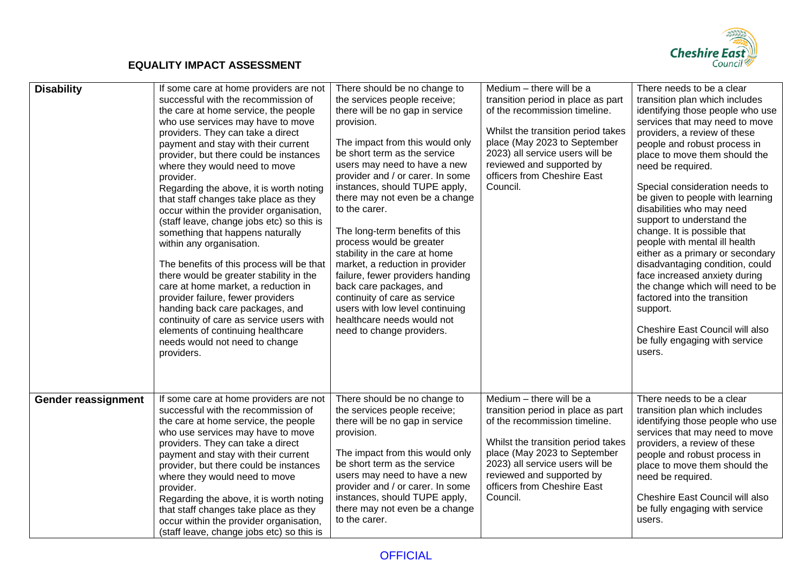

| <b>Disability</b>   | If some care at home providers are not<br>successful with the recommission of<br>the care at home service, the people<br>who use services may have to move<br>providers. They can take a direct<br>payment and stay with their current<br>provider, but there could be instances<br>where they would need to move<br>provider.<br>Regarding the above, it is worth noting<br>that staff changes take place as they<br>occur within the provider organisation,<br>(staff leave, change jobs etc) so this is<br>something that happens naturally<br>within any organisation.<br>The benefits of this process will be that<br>there would be greater stability in the<br>care at home market, a reduction in<br>provider failure, fewer providers<br>handing back care packages, and<br>continuity of care as service users with<br>elements of continuing healthcare<br>needs would not need to change<br>providers. | There should be no change to<br>the services people receive;<br>there will be no gap in service<br>provision.<br>The impact from this would only<br>be short term as the service<br>users may need to have a new<br>provider and / or carer. In some<br>instances, should TUPE apply,<br>there may not even be a change<br>to the carer.<br>The long-term benefits of this<br>process would be greater<br>stability in the care at home<br>market, a reduction in provider<br>failure, fewer providers handing<br>back care packages, and<br>continuity of care as service<br>users with low level continuing<br>healthcare needs would not<br>need to change providers. | Medium - there will be a<br>transition period in place as part<br>of the recommission timeline.<br>Whilst the transition period takes<br>place (May 2023 to September<br>2023) all service users will be<br>reviewed and supported by<br>officers from Cheshire East<br>Council. | There needs to be a clear<br>transition plan which includes<br>identifying those people who use<br>services that may need to move<br>providers, a review of these<br>people and robust process in<br>place to move them should the<br>need be required.<br>Special consideration needs to<br>be given to people with learning<br>disabilities who may need<br>support to understand the<br>change. It is possible that<br>people with mental ill health<br>either as a primary or secondary<br>disadvantaging condition, could<br>face increased anxiety during<br>the change which will need to be<br>factored into the transition<br>support.<br>Cheshire East Council will also<br>be fully engaging with service<br>users. |
|---------------------|--------------------------------------------------------------------------------------------------------------------------------------------------------------------------------------------------------------------------------------------------------------------------------------------------------------------------------------------------------------------------------------------------------------------------------------------------------------------------------------------------------------------------------------------------------------------------------------------------------------------------------------------------------------------------------------------------------------------------------------------------------------------------------------------------------------------------------------------------------------------------------------------------------------------|--------------------------------------------------------------------------------------------------------------------------------------------------------------------------------------------------------------------------------------------------------------------------------------------------------------------------------------------------------------------------------------------------------------------------------------------------------------------------------------------------------------------------------------------------------------------------------------------------------------------------------------------------------------------------|----------------------------------------------------------------------------------------------------------------------------------------------------------------------------------------------------------------------------------------------------------------------------------|--------------------------------------------------------------------------------------------------------------------------------------------------------------------------------------------------------------------------------------------------------------------------------------------------------------------------------------------------------------------------------------------------------------------------------------------------------------------------------------------------------------------------------------------------------------------------------------------------------------------------------------------------------------------------------------------------------------------------------|
| Gender reassignment | If some care at home providers are not<br>successful with the recommission of<br>the care at home service, the people<br>who use services may have to move<br>providers. They can take a direct<br>payment and stay with their current<br>provider, but there could be instances<br>where they would need to move<br>provider.<br>Regarding the above, it is worth noting<br>that staff changes take place as they<br>occur within the provider organisation,<br>(staff leave, change jobs etc) so this is                                                                                                                                                                                                                                                                                                                                                                                                         | There should be no change to<br>the services people receive;<br>there will be no gap in service<br>provision.<br>The impact from this would only<br>be short term as the service<br>users may need to have a new<br>provider and / or carer. In some<br>instances, should TUPE apply,<br>there may not even be a change<br>to the carer.                                                                                                                                                                                                                                                                                                                                 | Medium - there will be a<br>transition period in place as part<br>of the recommission timeline.<br>Whilst the transition period takes<br>place (May 2023 to September<br>2023) all service users will be<br>reviewed and supported by<br>officers from Cheshire East<br>Council. | There needs to be a clear<br>transition plan which includes<br>identifying those people who use<br>services that may need to move<br>providers, a review of these<br>people and robust process in<br>place to move them should the<br>need be required.<br>Cheshire East Council will also<br>be fully engaging with service<br>users.                                                                                                                                                                                                                                                                                                                                                                                         |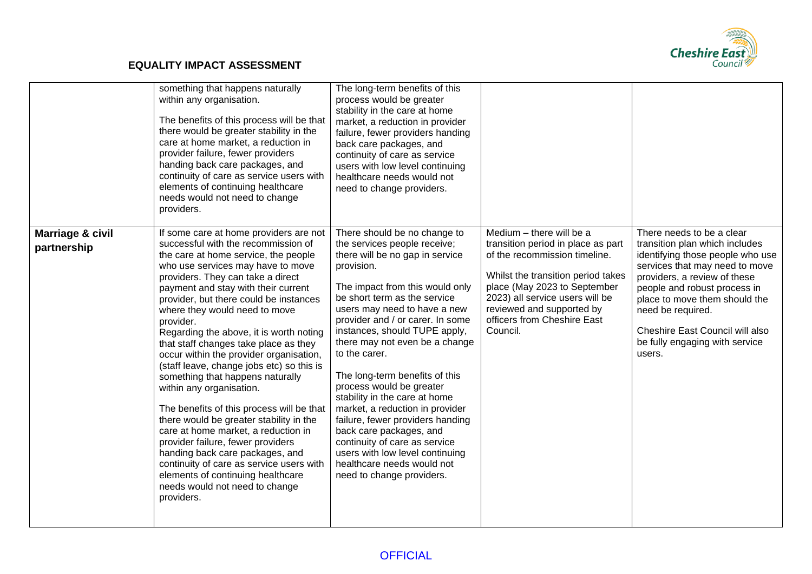

|                                 | something that happens naturally<br>within any organisation.<br>The benefits of this process will be that<br>there would be greater stability in the<br>care at home market, a reduction in<br>provider failure, fewer providers<br>handing back care packages, and<br>continuity of care as service users with<br>elements of continuing healthcare<br>needs would not need to change<br>providers.                                                                                                                                                                                                                                                                                                                                                                                                                                                                                                               | The long-term benefits of this<br>process would be greater<br>stability in the care at home<br>market, a reduction in provider<br>failure, fewer providers handing<br>back care packages, and<br>continuity of care as service<br>users with low level continuing<br>healthcare needs would not<br>need to change providers.                                                                                                                                                                                                                                                                                                                                             |                                                                                                                                                                                                                                                                                  |                                                                                                                                                                                                                                                                                                                                        |
|---------------------------------|--------------------------------------------------------------------------------------------------------------------------------------------------------------------------------------------------------------------------------------------------------------------------------------------------------------------------------------------------------------------------------------------------------------------------------------------------------------------------------------------------------------------------------------------------------------------------------------------------------------------------------------------------------------------------------------------------------------------------------------------------------------------------------------------------------------------------------------------------------------------------------------------------------------------|--------------------------------------------------------------------------------------------------------------------------------------------------------------------------------------------------------------------------------------------------------------------------------------------------------------------------------------------------------------------------------------------------------------------------------------------------------------------------------------------------------------------------------------------------------------------------------------------------------------------------------------------------------------------------|----------------------------------------------------------------------------------------------------------------------------------------------------------------------------------------------------------------------------------------------------------------------------------|----------------------------------------------------------------------------------------------------------------------------------------------------------------------------------------------------------------------------------------------------------------------------------------------------------------------------------------|
| Marriage & civil<br>partnership | If some care at home providers are not<br>successful with the recommission of<br>the care at home service, the people<br>who use services may have to move<br>providers. They can take a direct<br>payment and stay with their current<br>provider, but there could be instances<br>where they would need to move<br>provider.<br>Regarding the above, it is worth noting<br>that staff changes take place as they<br>occur within the provider organisation,<br>(staff leave, change jobs etc) so this is<br>something that happens naturally<br>within any organisation.<br>The benefits of this process will be that<br>there would be greater stability in the<br>care at home market, a reduction in<br>provider failure, fewer providers<br>handing back care packages, and<br>continuity of care as service users with<br>elements of continuing healthcare<br>needs would not need to change<br>providers. | There should be no change to<br>the services people receive;<br>there will be no gap in service<br>provision.<br>The impact from this would only<br>be short term as the service<br>users may need to have a new<br>provider and / or carer. In some<br>instances, should TUPE apply,<br>there may not even be a change<br>to the carer.<br>The long-term benefits of this<br>process would be greater<br>stability in the care at home<br>market, a reduction in provider<br>failure, fewer providers handing<br>back care packages, and<br>continuity of care as service<br>users with low level continuing<br>healthcare needs would not<br>need to change providers. | Medium - there will be a<br>transition period in place as part<br>of the recommission timeline.<br>Whilst the transition period takes<br>place (May 2023 to September<br>2023) all service users will be<br>reviewed and supported by<br>officers from Cheshire East<br>Council. | There needs to be a clear<br>transition plan which includes<br>identifying those people who use<br>services that may need to move<br>providers, a review of these<br>people and robust process in<br>place to move them should the<br>need be required.<br>Cheshire East Council will also<br>be fully engaging with service<br>users. |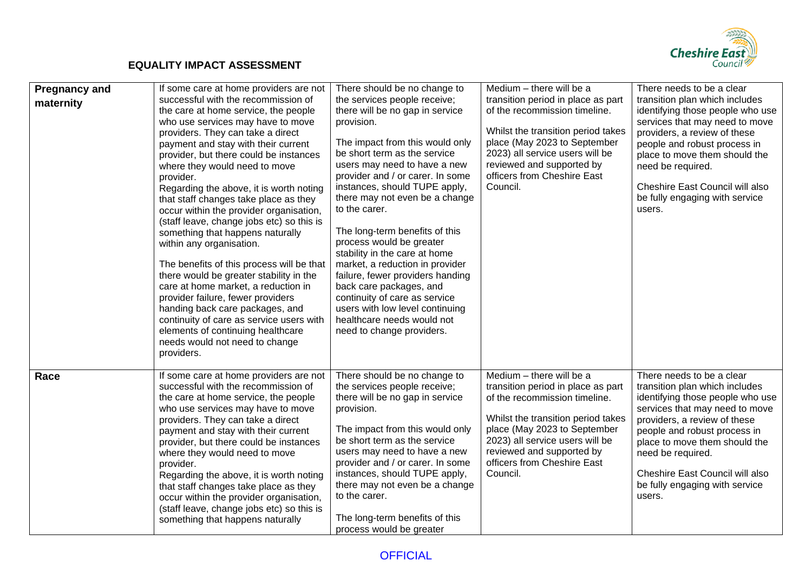

| <b>Pregnancy and</b><br>maternity | If some care at home providers are not<br>successful with the recommission of<br>the care at home service, the people<br>who use services may have to move<br>providers. They can take a direct<br>payment and stay with their current<br>provider, but there could be instances<br>where they would need to move<br>provider.<br>Regarding the above, it is worth noting<br>that staff changes take place as they<br>occur within the provider organisation,<br>(staff leave, change jobs etc) so this is<br>something that happens naturally<br>within any organisation.<br>The benefits of this process will be that<br>there would be greater stability in the<br>care at home market, a reduction in<br>provider failure, fewer providers<br>handing back care packages, and<br>continuity of care as service users with<br>elements of continuing healthcare<br>needs would not need to change<br>providers. | There should be no change to<br>the services people receive;<br>there will be no gap in service<br>provision.<br>The impact from this would only<br>be short term as the service<br>users may need to have a new<br>provider and / or carer. In some<br>instances, should TUPE apply,<br>there may not even be a change<br>to the carer.<br>The long-term benefits of this<br>process would be greater<br>stability in the care at home<br>market, a reduction in provider<br>failure, fewer providers handing<br>back care packages, and<br>continuity of care as service<br>users with low level continuing<br>healthcare needs would not<br>need to change providers. | Medium $-$ there will be a<br>transition period in place as part<br>of the recommission timeline.<br>Whilst the transition period takes<br>place (May 2023 to September<br>2023) all service users will be<br>reviewed and supported by<br>officers from Cheshire East<br>Council. | There needs to be a clear<br>transition plan which includes<br>identifying those people who use<br>services that may need to move<br>providers, a review of these<br>people and robust process in<br>place to move them should the<br>need be required.<br>Cheshire East Council will also<br>be fully engaging with service<br>users. |
|-----------------------------------|--------------------------------------------------------------------------------------------------------------------------------------------------------------------------------------------------------------------------------------------------------------------------------------------------------------------------------------------------------------------------------------------------------------------------------------------------------------------------------------------------------------------------------------------------------------------------------------------------------------------------------------------------------------------------------------------------------------------------------------------------------------------------------------------------------------------------------------------------------------------------------------------------------------------|--------------------------------------------------------------------------------------------------------------------------------------------------------------------------------------------------------------------------------------------------------------------------------------------------------------------------------------------------------------------------------------------------------------------------------------------------------------------------------------------------------------------------------------------------------------------------------------------------------------------------------------------------------------------------|------------------------------------------------------------------------------------------------------------------------------------------------------------------------------------------------------------------------------------------------------------------------------------|----------------------------------------------------------------------------------------------------------------------------------------------------------------------------------------------------------------------------------------------------------------------------------------------------------------------------------------|
| Race                              | If some care at home providers are not<br>successful with the recommission of<br>the care at home service, the people<br>who use services may have to move<br>providers. They can take a direct<br>payment and stay with their current<br>provider, but there could be instances<br>where they would need to move<br>provider.<br>Regarding the above, it is worth noting<br>that staff changes take place as they<br>occur within the provider organisation,<br>(staff leave, change jobs etc) so this is<br>something that happens naturally                                                                                                                                                                                                                                                                                                                                                                     | There should be no change to<br>the services people receive;<br>there will be no gap in service<br>provision.<br>The impact from this would only<br>be short term as the service<br>users may need to have a new<br>provider and / or carer. In some<br>instances, should TUPE apply,<br>there may not even be a change<br>to the carer.<br>The long-term benefits of this<br>process would be greater                                                                                                                                                                                                                                                                   | Medium - there will be a<br>transition period in place as part<br>of the recommission timeline.<br>Whilst the transition period takes<br>place (May 2023 to September<br>2023) all service users will be<br>reviewed and supported by<br>officers from Cheshire East<br>Council.   | There needs to be a clear<br>transition plan which includes<br>identifying those people who use<br>services that may need to move<br>providers, a review of these<br>people and robust process in<br>place to move them should the<br>need be required.<br>Cheshire East Council will also<br>be fully engaging with service<br>users. |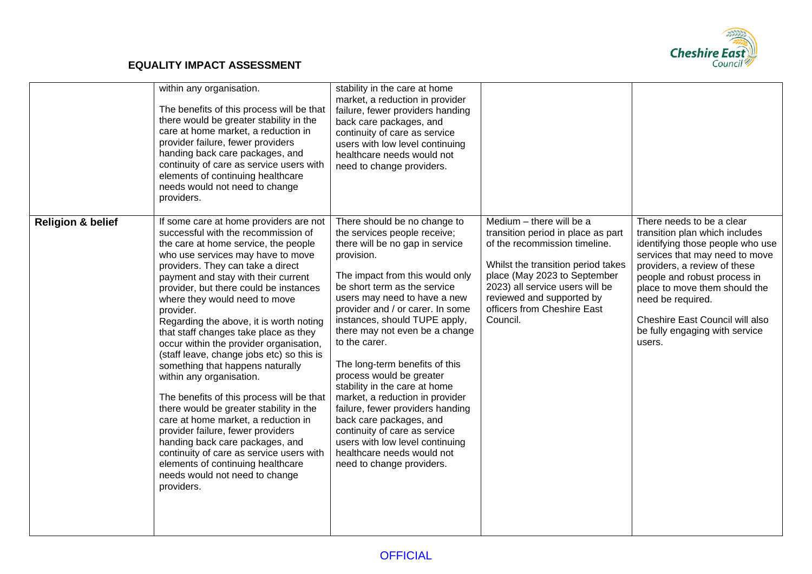

|                              | within any organisation.<br>The benefits of this process will be that<br>there would be greater stability in the<br>care at home market, a reduction in<br>provider failure, fewer providers<br>handing back care packages, and<br>continuity of care as service users with<br>elements of continuing healthcare<br>needs would not need to change<br>providers.                                                                                                                                                                                                                                                                                                                                                                                                                                                                                                                                                   | stability in the care at home<br>market, a reduction in provider<br>failure, fewer providers handing<br>back care packages, and<br>continuity of care as service<br>users with low level continuing<br>healthcare needs would not<br>need to change providers.                                                                                                                                                                                                                                                                                                                                                                                                           |                                                                                                                                                                                                                                                                                  |                                                                                                                                                                                                                                                                                                                                        |
|------------------------------|--------------------------------------------------------------------------------------------------------------------------------------------------------------------------------------------------------------------------------------------------------------------------------------------------------------------------------------------------------------------------------------------------------------------------------------------------------------------------------------------------------------------------------------------------------------------------------------------------------------------------------------------------------------------------------------------------------------------------------------------------------------------------------------------------------------------------------------------------------------------------------------------------------------------|--------------------------------------------------------------------------------------------------------------------------------------------------------------------------------------------------------------------------------------------------------------------------------------------------------------------------------------------------------------------------------------------------------------------------------------------------------------------------------------------------------------------------------------------------------------------------------------------------------------------------------------------------------------------------|----------------------------------------------------------------------------------------------------------------------------------------------------------------------------------------------------------------------------------------------------------------------------------|----------------------------------------------------------------------------------------------------------------------------------------------------------------------------------------------------------------------------------------------------------------------------------------------------------------------------------------|
| <b>Religion &amp; belief</b> | If some care at home providers are not<br>successful with the recommission of<br>the care at home service, the people<br>who use services may have to move<br>providers. They can take a direct<br>payment and stay with their current<br>provider, but there could be instances<br>where they would need to move<br>provider.<br>Regarding the above, it is worth noting<br>that staff changes take place as they<br>occur within the provider organisation,<br>(staff leave, change jobs etc) so this is<br>something that happens naturally<br>within any organisation.<br>The benefits of this process will be that<br>there would be greater stability in the<br>care at home market, a reduction in<br>provider failure, fewer providers<br>handing back care packages, and<br>continuity of care as service users with<br>elements of continuing healthcare<br>needs would not need to change<br>providers. | There should be no change to<br>the services people receive;<br>there will be no gap in service<br>provision.<br>The impact from this would only<br>be short term as the service<br>users may need to have a new<br>provider and / or carer. In some<br>instances, should TUPE apply,<br>there may not even be a change<br>to the carer.<br>The long-term benefits of this<br>process would be greater<br>stability in the care at home<br>market, a reduction in provider<br>failure, fewer providers handing<br>back care packages, and<br>continuity of care as service<br>users with low level continuing<br>healthcare needs would not<br>need to change providers. | Medium - there will be a<br>transition period in place as part<br>of the recommission timeline.<br>Whilst the transition period takes<br>place (May 2023 to September<br>2023) all service users will be<br>reviewed and supported by<br>officers from Cheshire East<br>Council. | There needs to be a clear<br>transition plan which includes<br>identifying those people who use<br>services that may need to move<br>providers, a review of these<br>people and robust process in<br>place to move them should the<br>need be required.<br>Cheshire East Council will also<br>be fully engaging with service<br>users. |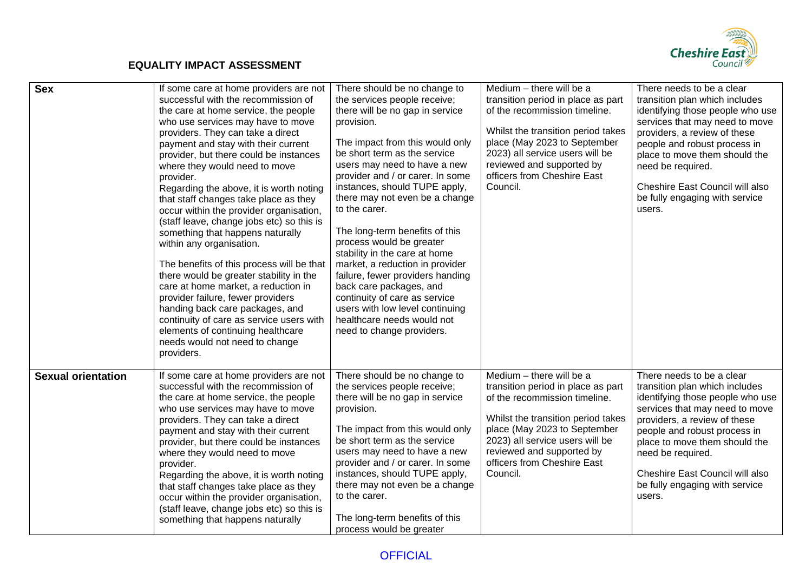

| <b>Sex</b>                | If some care at home providers are not<br>successful with the recommission of<br>the care at home service, the people<br>who use services may have to move<br>providers. They can take a direct<br>payment and stay with their current<br>provider, but there could be instances<br>where they would need to move<br>provider.<br>Regarding the above, it is worth noting<br>that staff changes take place as they<br>occur within the provider organisation,<br>(staff leave, change jobs etc) so this is<br>something that happens naturally<br>within any organisation.<br>The benefits of this process will be that<br>there would be greater stability in the<br>care at home market, a reduction in<br>provider failure, fewer providers<br>handing back care packages, and<br>continuity of care as service users with<br>elements of continuing healthcare<br>needs would not need to change<br>providers. | There should be no change to<br>the services people receive;<br>there will be no gap in service<br>provision.<br>The impact from this would only<br>be short term as the service<br>users may need to have a new<br>provider and / or carer. In some<br>instances, should TUPE apply,<br>there may not even be a change<br>to the carer.<br>The long-term benefits of this<br>process would be greater<br>stability in the care at home<br>market, a reduction in provider<br>failure, fewer providers handing<br>back care packages, and<br>continuity of care as service<br>users with low level continuing<br>healthcare needs would not<br>need to change providers. | Medium - there will be a<br>transition period in place as part<br>of the recommission timeline.<br>Whilst the transition period takes<br>place (May 2023 to September<br>2023) all service users will be<br>reviewed and supported by<br>officers from Cheshire East<br>Council. | There needs to be a clear<br>transition plan which includes<br>identifying those people who use<br>services that may need to move<br>providers, a review of these<br>people and robust process in<br>place to move them should the<br>need be required.<br>Cheshire East Council will also<br>be fully engaging with service<br>users. |
|---------------------------|--------------------------------------------------------------------------------------------------------------------------------------------------------------------------------------------------------------------------------------------------------------------------------------------------------------------------------------------------------------------------------------------------------------------------------------------------------------------------------------------------------------------------------------------------------------------------------------------------------------------------------------------------------------------------------------------------------------------------------------------------------------------------------------------------------------------------------------------------------------------------------------------------------------------|--------------------------------------------------------------------------------------------------------------------------------------------------------------------------------------------------------------------------------------------------------------------------------------------------------------------------------------------------------------------------------------------------------------------------------------------------------------------------------------------------------------------------------------------------------------------------------------------------------------------------------------------------------------------------|----------------------------------------------------------------------------------------------------------------------------------------------------------------------------------------------------------------------------------------------------------------------------------|----------------------------------------------------------------------------------------------------------------------------------------------------------------------------------------------------------------------------------------------------------------------------------------------------------------------------------------|
| <b>Sexual orientation</b> | If some care at home providers are not<br>successful with the recommission of<br>the care at home service, the people<br>who use services may have to move<br>providers. They can take a direct<br>payment and stay with their current<br>provider, but there could be instances<br>where they would need to move<br>provider.<br>Regarding the above, it is worth noting<br>that staff changes take place as they<br>occur within the provider organisation,<br>(staff leave, change jobs etc) so this is<br>something that happens naturally                                                                                                                                                                                                                                                                                                                                                                     | There should be no change to<br>the services people receive;<br>there will be no gap in service<br>provision.<br>The impact from this would only<br>be short term as the service<br>users may need to have a new<br>provider and / or carer. In some<br>instances, should TUPE apply,<br>there may not even be a change<br>to the carer.<br>The long-term benefits of this<br>process would be greater                                                                                                                                                                                                                                                                   | Medium - there will be a<br>transition period in place as part<br>of the recommission timeline.<br>Whilst the transition period takes<br>place (May 2023 to September<br>2023) all service users will be<br>reviewed and supported by<br>officers from Cheshire East<br>Council. | There needs to be a clear<br>transition plan which includes<br>identifying those people who use<br>services that may need to move<br>providers, a review of these<br>people and robust process in<br>place to move them should the<br>need be required.<br>Cheshire East Council will also<br>be fully engaging with service<br>users. |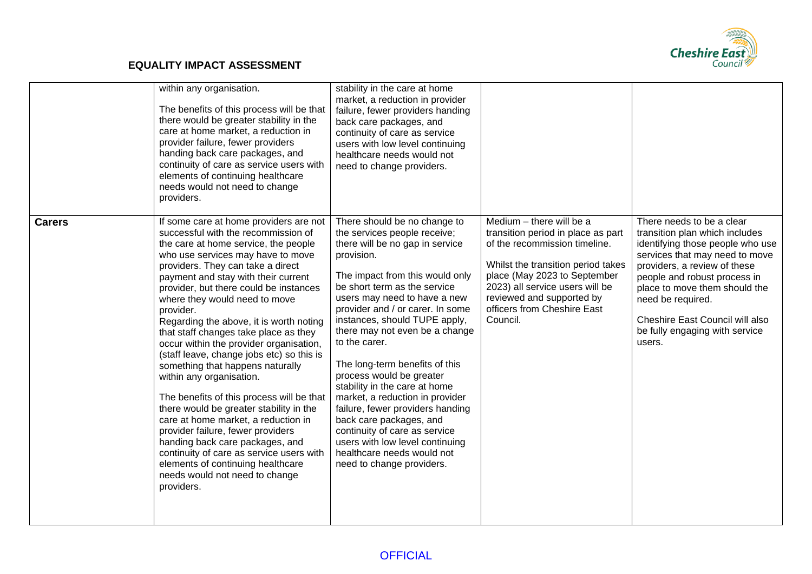

|               | within any organisation.<br>The benefits of this process will be that<br>there would be greater stability in the<br>care at home market, a reduction in<br>provider failure, fewer providers<br>handing back care packages, and<br>continuity of care as service users with<br>elements of continuing healthcare<br>needs would not need to change<br>providers.                                                                                                                                                                                                                                                                                                                                                                                                                                                                                                                                                   | stability in the care at home<br>market, a reduction in provider<br>failure, fewer providers handing<br>back care packages, and<br>continuity of care as service<br>users with low level continuing<br>healthcare needs would not<br>need to change providers.                                                                                                                                                                                                                                                                                                                                                                                                           |                                                                                                                                                                                                                                                                                  |                                                                                                                                                                                                                                                                                                                                        |
|---------------|--------------------------------------------------------------------------------------------------------------------------------------------------------------------------------------------------------------------------------------------------------------------------------------------------------------------------------------------------------------------------------------------------------------------------------------------------------------------------------------------------------------------------------------------------------------------------------------------------------------------------------------------------------------------------------------------------------------------------------------------------------------------------------------------------------------------------------------------------------------------------------------------------------------------|--------------------------------------------------------------------------------------------------------------------------------------------------------------------------------------------------------------------------------------------------------------------------------------------------------------------------------------------------------------------------------------------------------------------------------------------------------------------------------------------------------------------------------------------------------------------------------------------------------------------------------------------------------------------------|----------------------------------------------------------------------------------------------------------------------------------------------------------------------------------------------------------------------------------------------------------------------------------|----------------------------------------------------------------------------------------------------------------------------------------------------------------------------------------------------------------------------------------------------------------------------------------------------------------------------------------|
| <b>Carers</b> | If some care at home providers are not<br>successful with the recommission of<br>the care at home service, the people<br>who use services may have to move<br>providers. They can take a direct<br>payment and stay with their current<br>provider, but there could be instances<br>where they would need to move<br>provider.<br>Regarding the above, it is worth noting<br>that staff changes take place as they<br>occur within the provider organisation,<br>(staff leave, change jobs etc) so this is<br>something that happens naturally<br>within any organisation.<br>The benefits of this process will be that<br>there would be greater stability in the<br>care at home market, a reduction in<br>provider failure, fewer providers<br>handing back care packages, and<br>continuity of care as service users with<br>elements of continuing healthcare<br>needs would not need to change<br>providers. | There should be no change to<br>the services people receive;<br>there will be no gap in service<br>provision.<br>The impact from this would only<br>be short term as the service<br>users may need to have a new<br>provider and / or carer. In some<br>instances, should TUPE apply,<br>there may not even be a change<br>to the carer.<br>The long-term benefits of this<br>process would be greater<br>stability in the care at home<br>market, a reduction in provider<br>failure, fewer providers handing<br>back care packages, and<br>continuity of care as service<br>users with low level continuing<br>healthcare needs would not<br>need to change providers. | Medium - there will be a<br>transition period in place as part<br>of the recommission timeline.<br>Whilst the transition period takes<br>place (May 2023 to September<br>2023) all service users will be<br>reviewed and supported by<br>officers from Cheshire East<br>Council. | There needs to be a clear<br>transition plan which includes<br>identifying those people who use<br>services that may need to move<br>providers, a review of these<br>people and robust process in<br>place to move them should the<br>need be required.<br>Cheshire East Council will also<br>be fully engaging with service<br>users. |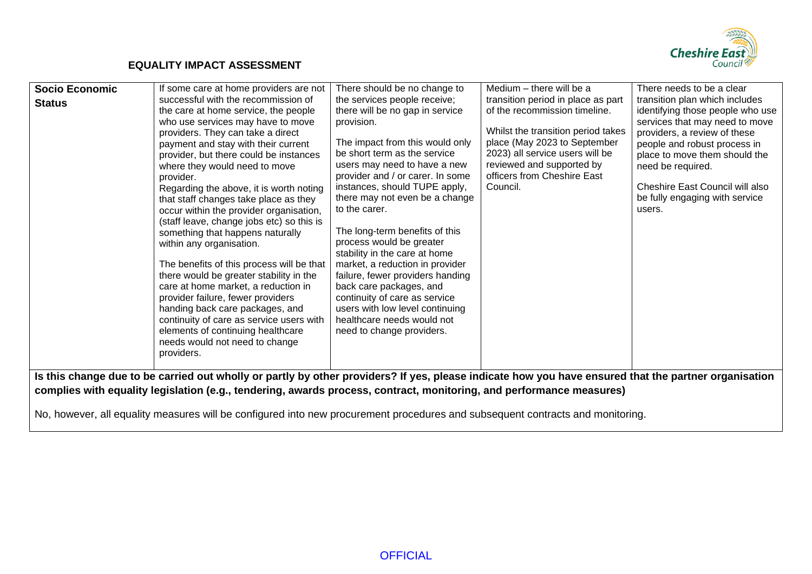

| <b>Socio Economic</b> | If some care at home providers are not                                                                                                                                   | There should be no change to                                                                                                        | Medium – there will be a                                                                                                    | There needs to be a clear                                                                                                            |
|-----------------------|--------------------------------------------------------------------------------------------------------------------------------------------------------------------------|-------------------------------------------------------------------------------------------------------------------------------------|-----------------------------------------------------------------------------------------------------------------------------|--------------------------------------------------------------------------------------------------------------------------------------|
| <b>Status</b>         | successful with the recommission of<br>the care at home service, the people<br>who use services may have to move<br>providers. They can take a direct                    | the services people receive;<br>there will be no gap in service<br>provision.                                                       | transition period in place as part<br>of the recommission timeline.<br>Whilst the transition period takes                   | transition plan which includes<br>identifying those people who use<br>services that may need to move<br>providers, a review of these |
|                       | payment and stay with their current<br>provider, but there could be instances<br>where they would need to move<br>provider.                                              | The impact from this would only<br>be short term as the service<br>users may need to have a new<br>provider and / or carer. In some | place (May 2023 to September<br>2023) all service users will be<br>reviewed and supported by<br>officers from Cheshire East | people and robust process in<br>place to move them should the<br>need be required.                                                   |
|                       | Regarding the above, it is worth noting<br>that staff changes take place as they<br>occur within the provider organisation,<br>(staff leave, change jobs etc) so this is | instances, should TUPE apply,<br>there may not even be a change<br>to the carer.                                                    | Council.                                                                                                                    | Cheshire East Council will also<br>be fully engaging with service<br>users.                                                          |
|                       | something that happens naturally<br>within any organisation.<br>The benefits of this process will be that                                                                | The long-term benefits of this<br>process would be greater<br>stability in the care at home<br>market, a reduction in provider      |                                                                                                                             |                                                                                                                                      |
|                       | there would be greater stability in the<br>care at home market, a reduction in<br>provider failure, fewer providers                                                      | failure, fewer providers handing<br>back care packages, and<br>continuity of care as service                                        |                                                                                                                             |                                                                                                                                      |
|                       | handing back care packages, and<br>continuity of care as service users with<br>elements of continuing healthcare<br>needs would not need to change                       | users with low level continuing<br>healthcare needs would not<br>need to change providers.                                          |                                                                                                                             |                                                                                                                                      |
|                       | providers.<br>Is this change due to be carried out wholly or partly by other providers? If yes, please indicate how you have ensured that the partner organisation       |                                                                                                                                     |                                                                                                                             |                                                                                                                                      |
|                       | complies with equality legislation (e.g., tendering, awards process, contract, monitoring, and performance measures)                                                     |                                                                                                                                     |                                                                                                                             |                                                                                                                                      |
|                       |                                                                                                                                                                          |                                                                                                                                     |                                                                                                                             |                                                                                                                                      |

No, however, all equality measures will be configured into new procurement procedures and subsequent contracts and monitoring.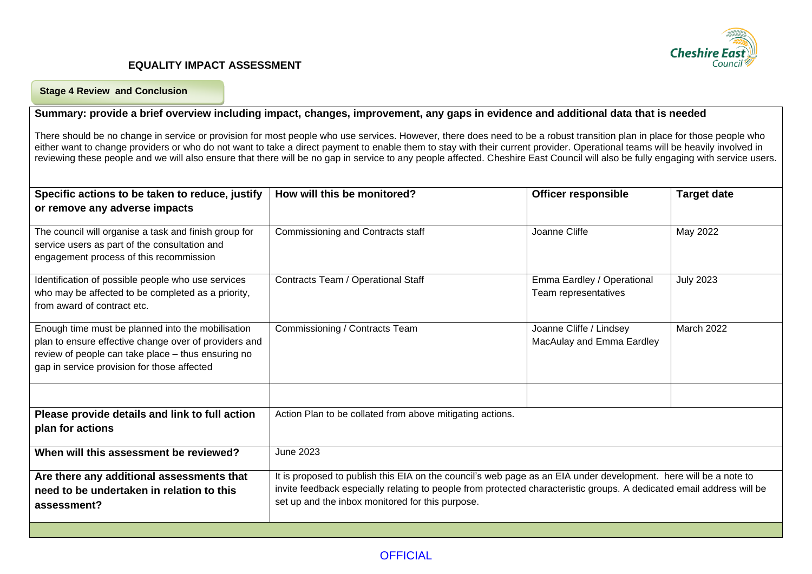

#### **Stage 4 Review and Conclusion**

#### **Summary: provide a brief overview including impact, changes, improvement, any gaps in evidence and additional data that is needed**

There should be no change in service or provision for most people who use services. However, there does need to be a robust transition plan in place for those people who either want to change providers or who do not want to take a direct payment to enable them to stay with their current provider. Operational teams will be heavily involved in reviewing these people and we will also ensure that there will be no gap in service to any people affected. Cheshire East Council will also be fully engaging with service users.

| How will this be monitored?                                                                                                                                                                                                                                                                   | <b>Officer responsible</b>                           | <b>Target date</b> |
|-----------------------------------------------------------------------------------------------------------------------------------------------------------------------------------------------------------------------------------------------------------------------------------------------|------------------------------------------------------|--------------------|
|                                                                                                                                                                                                                                                                                               |                                                      |                    |
| Commissioning and Contracts staff                                                                                                                                                                                                                                                             | Joanne Cliffe                                        | May 2022           |
| Contracts Team / Operational Staff                                                                                                                                                                                                                                                            | Emma Eardley / Operational<br>Team representatives   | <b>July 2023</b>   |
| Commissioning / Contracts Team                                                                                                                                                                                                                                                                | Joanne Cliffe / Lindsey<br>MacAulay and Emma Eardley | March 2022         |
| Action Plan to be collated from above mitigating actions.                                                                                                                                                                                                                                     |                                                      |                    |
| <b>June 2023</b>                                                                                                                                                                                                                                                                              |                                                      |                    |
| It is proposed to publish this EIA on the council's web page as an EIA under development. here will be a note to<br>invite feedback especially relating to people from protected characteristic groups. A dedicated email address will be<br>set up and the inbox monitored for this purpose. |                                                      |                    |
|                                                                                                                                                                                                                                                                                               |                                                      |                    |